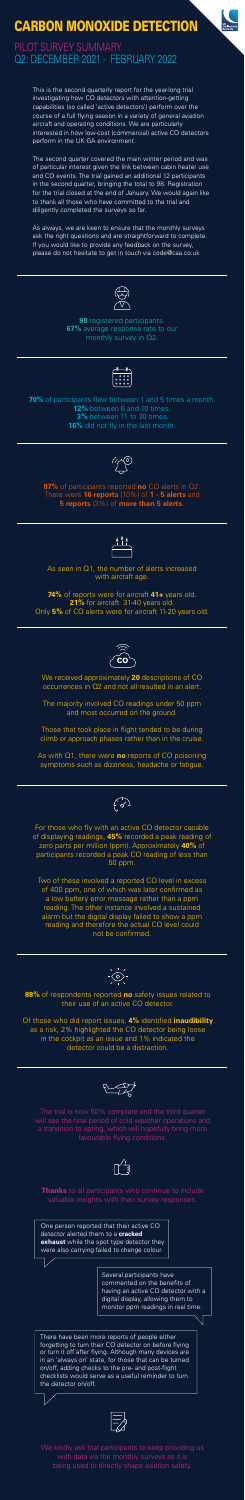

## CARBON MONOXIDE DETECTION

PILOT SURVEY SUMMARY Q2: DECEMBER 2021 - FEBRUARY 2022

**88%** of respondents reported **no** safety issues related to their use of an active CO detector.

Of those who did report issues, **4%** identified **inaudibility** as a risk, 2% highlighted the CO detector being loose in the cockpit as an issue and 1% indicated the detector could be a distraction.



The trial is now 50% complete and the third quarter will see the final period of cold weather operations and

a transition to spring, which will hopefully bring more favourable flying conditions.



**Thanks** to all participants who continue to include valuable insights with their survey responses.

**98** registered participants. **67%** average response rate to our monthly survey in Q2.

As seen in Q1, the number of alerts increased with aircraft age.





We kindly ask trial participants to keep providing us with data via the monthly surveys as it is being used to directly shape aviation safety.

**70%** of participants flew between 1 and 5 times a month. **12%** between 6 and 10 times. **3%** between 11 to 30 times. **16%** did not fly in the last month.

For those who fly with an active CO detector capable of displaying readings, **45%** recorded a peak reading of zero parts per million (ppm). Approximately **40%** of participants recorded a peak CO reading of less than 50 ppm.

Two of these involved a reported CO level in excess of 400 ppm, one of which was later confirmed as a low battery error message rather than a ppm reading. The other instance involved a sustained alarm but the digital display failed to show a ppm reading and therefore the actual CO level could not be confirmed.



**74%** of reports were for aircraft **41+** years old. **21%** for aircraft 31-40 years old. Only **5%** of CO alerts were for aircraft 11-20 years old.





**87%** of participants reported **no** CO alerts in Q2. There were **16 reports** (10%) of **1 - 5 alerts** and **5 reports** (3%) of **more than 5 alerts**.



Those that took place in flight tended to be during climb or approach phases rather than in the cruise.

This is the second quarterly report for the year-long trial investigating how CO detectors with attention-getting capabilities (so called 'active detectors') perform over the course of a full flying season in a variety of general aviation aircraft and operating conditions. We are particularly interested in how low-cost (commercial) active CO detectors perform in the UK GA environment.

The second quarter covered the main winter period and was of particular interest given the link between cabin heater use and CO events. The trial gained an additional 12 participants in the second quarter, bringing the total to 98. Registration for the trial closed at the end of January. We would again like to thank all those who have committed to the trial and diligently completed the surveys so far.

As always, we are keen to ensure that the monthly surveys ask the right questions and are straightforward to complete. If you would like to provide any feedback on the survey, please do not hesitate to get in touch via code@caa.co.uk



There have been more reports of people either forgetting to turn their CO detector on before flying or turn it off after flying. Although many devices are in an 'always on' state, for those that can be turned on/off, adding checks to the pre- and post-flight checklists would serve as a useful reminder to turn the detector on/off.



One person reported that their active CO detector alerted them to a **cracked exhaust** while the spot type detector they were also carrying failed to change colour.

> Several participants have commented on the benefits of having an active CO detector with a digital display, allowing them to monitor ppm readings in real time.

We received approximately **20** descriptions of CO occurrences in Q2 and not all resulted in an alert.

The majority involved CO readings under 50 ppm and most occurred on the ground.

As with Q1, there were **no** reports of CO poisoning symptoms such as dizziness, headache or fatigue.